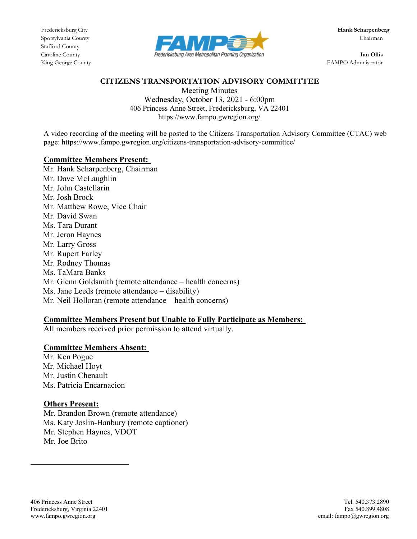Stafford County



King George County FAMPO Administrator

### CITIZENS TRANSPORTATION ADVISORY COMMITTEE

Meeting Minutes Wednesday, October 13, 2021 - 6:00pm 406 Princess Anne Street, Fredericksburg, VA 22401 https://www.fampo.gwregion.org/

A video recording of the meeting will be posted to the Citizens Transportation Advisory Committee (CTAC) web page: https://www.fampo.gwregion.org/citizens-transportation-advisory-committee/

#### Committee Members Present:

Mr. Hank Scharpenberg, Chairman Mr. Dave McLaughlin Mr. John Castellarin Mr. Josh Brock Mr. Matthew Rowe, Vice Chair Mr. David Swan Ms. Tara Durant Mr. Jeron Haynes Mr. Larry Gross Mr. Rupert Farley Mr. Rodney Thomas Ms. TaMara Banks Mr. Glenn Goldsmith (remote attendance – health concerns) Ms. Jane Leeds (remote attendance – disability) Mr. Neil Holloran (remote attendance – health concerns)

# Committee Members Present but Unable to Fully Participate as Members:

All members received prior permission to attend virtually.

# Committee Members Absent:

Mr. Ken Pogue Mr. Michael Hoyt Mr. Justin Chenault Ms. Patricia Encarnacion

# Others Present:

Mr. Brandon Brown (remote attendance) Ms. Katy Joslin-Hanbury (remote captioner) Mr. Stephen Haynes, VDOT Mr. Joe Brito

l,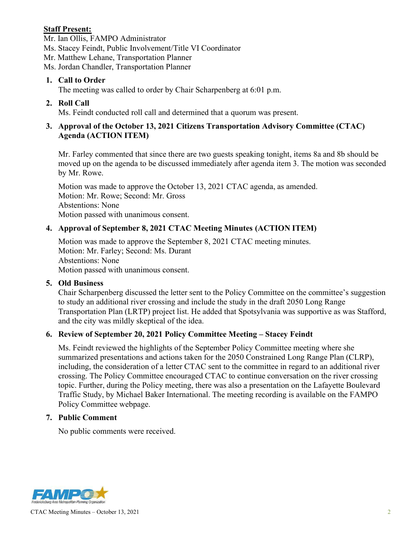# Staff Present:

Mr. Ian Ollis, FAMPO Administrator Ms. Stacey Feindt, Public Involvement/Title VI Coordinator Mr. Matthew Lehane, Transportation Planner Ms. Jordan Chandler, Transportation Planner

### 1. Call to Order

The meeting was called to order by Chair Scharpenberg at 6:01 p.m.

### 2. Roll Call

Ms. Feindt conducted roll call and determined that a quorum was present.

# 3. Approval of the October 13, 2021 Citizens Transportation Advisory Committee (CTAC) Agenda (ACTION ITEM)

Mr. Farley commented that since there are two guests speaking tonight, items 8a and 8b should be moved up on the agenda to be discussed immediately after agenda item 3. The motion was seconded by Mr. Rowe.

Motion was made to approve the October 13, 2021 CTAC agenda, as amended. Motion: Mr. Rowe; Second: Mr. Gross Abstentions: None Motion passed with unanimous consent.

# 4. Approval of September 8, 2021 CTAC Meeting Minutes (ACTION ITEM)

Motion was made to approve the September 8, 2021 CTAC meeting minutes. Motion: Mr. Farley; Second: Ms. Durant Abstentions: None Motion passed with unanimous consent.

#### 5. Old Business

Chair Scharpenberg discussed the letter sent to the Policy Committee on the committee's suggestion to study an additional river crossing and include the study in the draft 2050 Long Range Transportation Plan (LRTP) project list. He added that Spotsylvania was supportive as was Stafford, and the city was mildly skeptical of the idea.

#### 6. Review of September 20, 2021 Policy Committee Meeting – Stacey Feindt

Ms. Feindt reviewed the highlights of the September Policy Committee meeting where she summarized presentations and actions taken for the 2050 Constrained Long Range Plan (CLRP), including, the consideration of a letter CTAC sent to the committee in regard to an additional river crossing. The Policy Committee encouraged CTAC to continue conversation on the river crossing topic. Further, during the Policy meeting, there was also a presentation on the Lafayette Boulevard Traffic Study, by Michael Baker International. The meeting recording is available on the FAMPO Policy Committee webpage.

#### 7. Public Comment

No public comments were received.



CTAC Meeting Minutes – October 13, 2021 2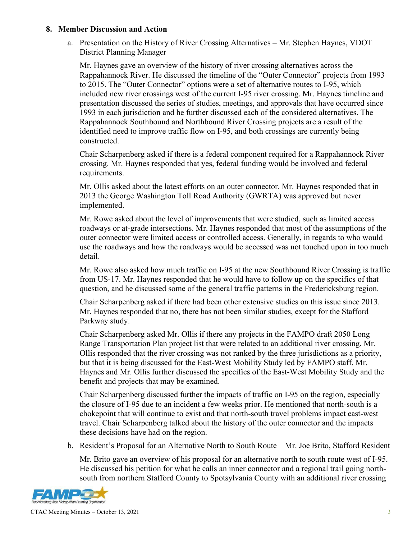#### 8. Member Discussion and Action

a. Presentation on the History of River Crossing Alternatives – Mr. Stephen Haynes, VDOT District Planning Manager

Mr. Haynes gave an overview of the history of river crossing alternatives across the Rappahannock River. He discussed the timeline of the "Outer Connector" projects from 1993 to 2015. The "Outer Connector" options were a set of alternative routes to I-95, which included new river crossings west of the current I-95 river crossing. Mr. Haynes timeline and presentation discussed the series of studies, meetings, and approvals that have occurred since 1993 in each jurisdiction and he further discussed each of the considered alternatives. The Rappahannock Southbound and Northbound River Crossing projects are a result of the identified need to improve traffic flow on I-95, and both crossings are currently being constructed.

Chair Scharpenberg asked if there is a federal component required for a Rappahannock River crossing. Mr. Haynes responded that yes, federal funding would be involved and federal requirements.

Mr. Ollis asked about the latest efforts on an outer connector. Mr. Haynes responded that in 2013 the George Washington Toll Road Authority (GWRTA) was approved but never implemented.

Mr. Rowe asked about the level of improvements that were studied, such as limited access roadways or at-grade intersections. Mr. Haynes responded that most of the assumptions of the outer connector were limited access or controlled access. Generally, in regards to who would use the roadways and how the roadways would be accessed was not touched upon in too much detail.

Mr. Rowe also asked how much traffic on I-95 at the new Southbound River Crossing is traffic from US-17. Mr. Haynes responded that he would have to follow up on the specifics of that question, and he discussed some of the general traffic patterns in the Fredericksburg region.

Chair Scharpenberg asked if there had been other extensive studies on this issue since 2013. Mr. Haynes responded that no, there has not been similar studies, except for the Stafford Parkway study.

Chair Scharpenberg asked Mr. Ollis if there any projects in the FAMPO draft 2050 Long Range Transportation Plan project list that were related to an additional river crossing. Mr. Ollis responded that the river crossing was not ranked by the three jurisdictions as a priority, but that it is being discussed for the East-West Mobility Study led by FAMPO staff. Mr. Haynes and Mr. Ollis further discussed the specifics of the East-West Mobility Study and the benefit and projects that may be examined.

Chair Scharpenberg discussed further the impacts of traffic on I-95 on the region, especially the closure of I-95 due to an incident a few weeks prior. He mentioned that north-south is a chokepoint that will continue to exist and that north-south travel problems impact east-west travel. Chair Scharpenberg talked about the history of the outer connector and the impacts these decisions have had on the region.

b. Resident's Proposal for an Alternative North to South Route – Mr. Joe Brito, Stafford Resident

Mr. Brito gave an overview of his proposal for an alternative north to south route west of I-95. He discussed his petition for what he calls an inner connector and a regional trail going northsouth from northern Stafford County to Spotsylvania County with an additional river crossing